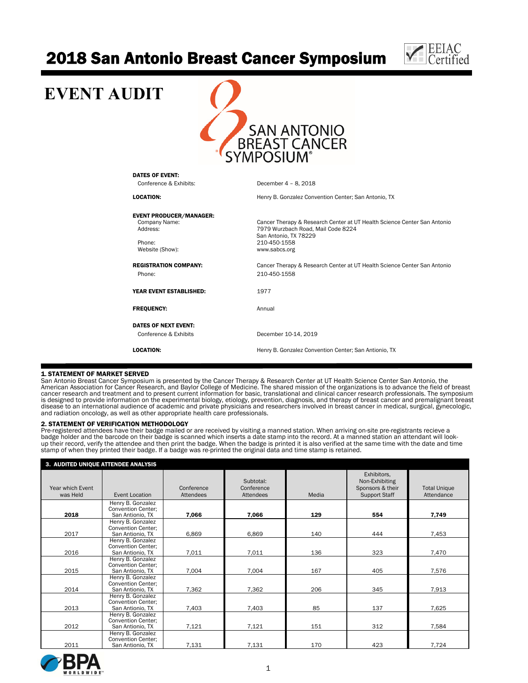# 2018 San Antonio Breast Cancer Symposium



## **EVENT AUDIT**  SAN ANTONIO<br>BREAST CANCER<br>YMPOSIUM® DATES OF EVENT: Conference & Exhibits: December 4 – 8, 2018 LOCATION: Henry B. Gonzalez Convention Center; San Antonio, TX **EVENT PRODUCER/MANAGER:**<br>Company Name: Cancer Therapy & Research Center at UT Health Science Center San Antonio Address: 7979 Wurzbach Road, Mail Code 8224 San Antonio, TX 78229 Phone: 210-450-1558<br>Website (Show): The Contract of the Show www.sabcs.org Website (Show): REGISTRATION COMPANY: Cancer Therapy & Research Center at UT Health Science Center San Antonio Phone: 210-450-1558 YEAR EVENT ESTABLISHED: 1977 FREQUENCY: Annual DATES OF NEXT EVENT: Conference & Exhibits December 10-14, 2019 LOCATION: **Henry B. Gonzalez Convention Center**; San Antionio, TX

#### 1. STATEMENT OF MARKET SERVED

San Antonio Breast Cancer Symposium is presented by the Cancer Therapy & Research Center at UT Health Science Center San Antonio, the<br>American Association for Cancer Research, and Baylor College of Medicine. The shared mis cancer research and treatment and to present current information for basic, translational and clinical cancer research professionals. The symposium is designed to provide information on the experimental biology, etiology, prevention, diagnosis, and therapy of breast cancer and premalignant breast disease to an international audience of academic and private physicians and researchers involved in breast cancer in medical, surgical, gynecologic, and radiation oncology, as well as other appropriate health care professionals.

#### 2. STATEMENT OF VERIFICATION METHODOLOGY

Pre-registered attendees have their badge mailed or are received by visiting a manned station. When arriving on-site pre-registrants recieve a<br>badge holder and the barcode on their badge is scanned which inserts a date sta stamp of when they printed their badge. If a badge was re-printed the original data and time stamp is retained.

| 3. AUDITED UNIQUE ATTENDEE ANALYSIS |                                                                    |                         |                                      |       |                                                                           |                                   |  |
|-------------------------------------|--------------------------------------------------------------------|-------------------------|--------------------------------------|-------|---------------------------------------------------------------------------|-----------------------------------|--|
| Year which Event<br>was Held        | Event Location                                                     | Conference<br>Attendees | Subtotal:<br>Conference<br>Attendees | Media | Exhibitors,<br>Non-Exhibiting<br>Sponsors & their<br><b>Support Staff</b> | <b>Total Unique</b><br>Attendance |  |
| 2018                                | Henry B. Gonzalez<br><b>Convention Center:</b><br>San Antionio, TX | 7,066                   | 7,066                                | 129   | 554                                                                       | 7,749                             |  |
| 2017                                | Henry B. Gonzalez<br><b>Convention Center:</b><br>San Antionio, TX | 6,869                   | 6,869                                | 140   | 444                                                                       | 7,453                             |  |
| 2016                                | Henry B. Gonzalez<br><b>Convention Center:</b><br>San Antionio, TX | 7,011                   | 7,011                                | 136   | 323                                                                       | 7,470                             |  |
| 2015                                | Henry B. Gonzalez<br><b>Convention Center:</b><br>San Antionio, TX | 7,004                   | 7,004                                | 167   | 405                                                                       | 7,576                             |  |
| 2014                                | Henry B. Gonzalez<br><b>Convention Center:</b><br>San Antionio, TX | 7,362                   | 7,362                                | 206   | 345                                                                       | 7,913                             |  |
| 2013                                | Henry B. Gonzalez<br><b>Convention Center:</b><br>San Antionio. TX | 7,403                   | 7,403                                | 85    | 137                                                                       | 7,625                             |  |
| 2012                                | Henry B. Gonzalez<br><b>Convention Center:</b><br>San Antionio, TX | 7,121                   | 7,121                                | 151   | 312                                                                       | 7,584                             |  |
| 2011                                | Henry B. Gonzalez<br><b>Convention Center:</b><br>San Antionio, TX | 7,131                   | 7,131                                | 170   | 423                                                                       | 7,724                             |  |

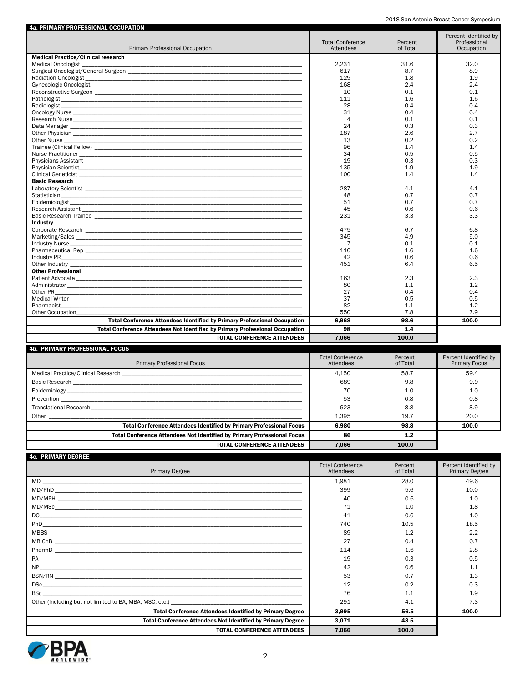2018 San Antonio Breast Cancer Symposium

| 4a. PRIMARY PROFESSIONAL OCCUPATION                                                                                                                                                                                            |                                      |                     |                                                     |
|--------------------------------------------------------------------------------------------------------------------------------------------------------------------------------------------------------------------------------|--------------------------------------|---------------------|-----------------------------------------------------|
| Primary Professional Occupation                                                                                                                                                                                                | <b>Total Conference</b><br>Attendees | Percent<br>of Total | Percent Identified by<br>Professional<br>Occupation |
| <b>Medical Practice/Clinical research</b>                                                                                                                                                                                      |                                      |                     |                                                     |
| <b>Medical Oncologist</b>                                                                                                                                                                                                      | 2.231                                | 31.6                | 32.0                                                |
|                                                                                                                                                                                                                                | 617                                  | 8.7                 | 8.9                                                 |
|                                                                                                                                                                                                                                | 129                                  | 1.8                 | 1.9                                                 |
|                                                                                                                                                                                                                                | 168                                  | 2.4                 | 2.4                                                 |
|                                                                                                                                                                                                                                | 10                                   | 0.1                 | 0.1                                                 |
|                                                                                                                                                                                                                                | 111                                  | 1.6                 | 1.6                                                 |
|                                                                                                                                                                                                                                | 28                                   | 0.4                 | 0.4                                                 |
|                                                                                                                                                                                                                                | 31                                   | 0.4                 | 0.4                                                 |
|                                                                                                                                                                                                                                | 4                                    | 0.1                 | 0.1                                                 |
|                                                                                                                                                                                                                                | 24                                   | 0.3                 | 0.3                                                 |
|                                                                                                                                                                                                                                | 187                                  | 2.6                 | 2.7                                                 |
|                                                                                                                                                                                                                                | 13                                   | 0.2                 | 0.2                                                 |
|                                                                                                                                                                                                                                | 96                                   | 1.4                 | 1.4                                                 |
|                                                                                                                                                                                                                                | 34                                   | 0.5                 | 0.5                                                 |
|                                                                                                                                                                                                                                | 19                                   | 0.3                 | 0.3                                                 |
|                                                                                                                                                                                                                                | 135                                  | 1.9                 | 1.9                                                 |
|                                                                                                                                                                                                                                | 100                                  | 1.4                 | 1.4                                                 |
| <b>Basic Research</b>                                                                                                                                                                                                          |                                      |                     |                                                     |
|                                                                                                                                                                                                                                | 287                                  | 4.1                 | 4.1                                                 |
|                                                                                                                                                                                                                                | 48                                   | 0.7                 | 0.7                                                 |
|                                                                                                                                                                                                                                | 51                                   | 0.7                 | 0.7                                                 |
|                                                                                                                                                                                                                                | 45                                   | 0.6                 | 0.6                                                 |
|                                                                                                                                                                                                                                | 231                                  | 3.3                 | 3.3                                                 |
| <b>Industry</b>                                                                                                                                                                                                                |                                      |                     |                                                     |
|                                                                                                                                                                                                                                | 475                                  | 6.7                 | 6.8                                                 |
|                                                                                                                                                                                                                                | 345                                  | 4.9                 | 5.0                                                 |
|                                                                                                                                                                                                                                | $\overline{7}$                       | 0.1                 | 0.1                                                 |
|                                                                                                                                                                                                                                | 110                                  | 1.6                 | 1.6                                                 |
|                                                                                                                                                                                                                                | 42                                   | 0.6                 | 0.6                                                 |
| Other Industry that the contract of the contract of the contract of the contract of the contract of the contract of the contract of the contract of the contract of the contract of the contract of the contract of the contra | 451                                  | 6.4                 | 6.5                                                 |
| <b>Other Professional</b>                                                                                                                                                                                                      |                                      |                     |                                                     |
|                                                                                                                                                                                                                                | 163                                  | 2.3                 | 2.3                                                 |
|                                                                                                                                                                                                                                | 80                                   | 1.1                 | 1.2                                                 |
|                                                                                                                                                                                                                                | 27                                   | 0.4                 | 0.4                                                 |
|                                                                                                                                                                                                                                | 37                                   | 0.5                 | 0.5                                                 |
| Pharmacist                                                                                                                                                                                                                     | 82                                   | 1.1                 | 1.2                                                 |
| Other Occupation                                                                                                                                                                                                               | 550                                  | 7.8                 | 7.9                                                 |
| <b>Total Conference Attendees Identified by Primary Professional Occupation</b>                                                                                                                                                | 6,968                                | 98.6                | 100.0                                               |
| Total Conference Attendees Not Identified by Primary Professional Occupation                                                                                                                                                   | 98                                   | 1.4                 |                                                     |
| <b>TOTAL CONFERENCE ATTENDEES</b>                                                                                                                                                                                              | 7.066                                | 100.0               |                                                     |
| 4b DDIMADV DDAEECCIANAL EACHC                                                                                                                                                                                                  |                                      |                     |                                                     |

| <b>Primary Professional Focus</b>                                              | <b>Total Conference</b><br>Attendees | Percent<br>of Total | Percent Identified by<br><b>Primary Focus</b> |
|--------------------------------------------------------------------------------|--------------------------------------|---------------------|-----------------------------------------------|
|                                                                                | 4.150                                | 58.7                | 59.4                                          |
|                                                                                | 689                                  | 9.8                 | 9.9                                           |
|                                                                                | 70                                   | 1.0                 | 1.0                                           |
|                                                                                | 53                                   | 0.8                 | 0.8                                           |
|                                                                                | 623                                  | 8.8                 | 8.9                                           |
|                                                                                | 1.395                                | 19.7                | 20.0                                          |
| <b>Total Conference Attendees Identified by Primary Professional Focus</b>     | 6.980                                | 98.8                | 100.0                                         |
| <b>Total Conference Attendees Not Identified by Primary Professional Focus</b> | 86                                   | $1.2$               |                                               |
| <b>TOTAL CONFERENCE ATTENDEES</b>                                              | 7.066                                | 100.0               |                                               |

| <b>4c. PRIMARY DEGREE</b>                                          |                         |          |                       |
|--------------------------------------------------------------------|-------------------------|----------|-----------------------|
|                                                                    | <b>Total Conference</b> | Percent  | Percent Identified by |
| <b>Primary Degree</b>                                              | Attendees               | of Total | <b>Primary Degree</b> |
|                                                                    | 1,981                   | 28.0     | 49.6                  |
|                                                                    | 399                     | 5.6      | 10.0                  |
|                                                                    | 40                      | 0.6      | 1.0                   |
|                                                                    | 71                      | 1.0      | 1.8                   |
|                                                                    | 41                      | 0.6      | 1.0                   |
|                                                                    | 740                     | 10.5     | 18.5                  |
|                                                                    | 89                      | 1.2      | 2.2                   |
|                                                                    | 27                      | 0.4      | 0.7                   |
|                                                                    | 114                     | 1.6      | 2.8                   |
|                                                                    | 19                      | 0.3      | 0.5                   |
|                                                                    | 42                      | 0.6      | 1.1                   |
|                                                                    | 53                      | 0.7      | 1.3                   |
|                                                                    | 12                      | 0.2      | 0.3                   |
|                                                                    | 76                      | 1.1      | 1.9                   |
|                                                                    | 291                     | 4.1      | 7.3                   |
| <b>Total Conference Attendees Identified by Primary Degree</b>     | 3,995                   | 56.5     | 100.0                 |
| <b>Total Conference Attendees Not Identified by Primary Degree</b> | 3,071                   | 43.5     |                       |
| <b>TOTAL CONFERENCE ATTENDEES</b>                                  | 7.066                   | 100.0    |                       |

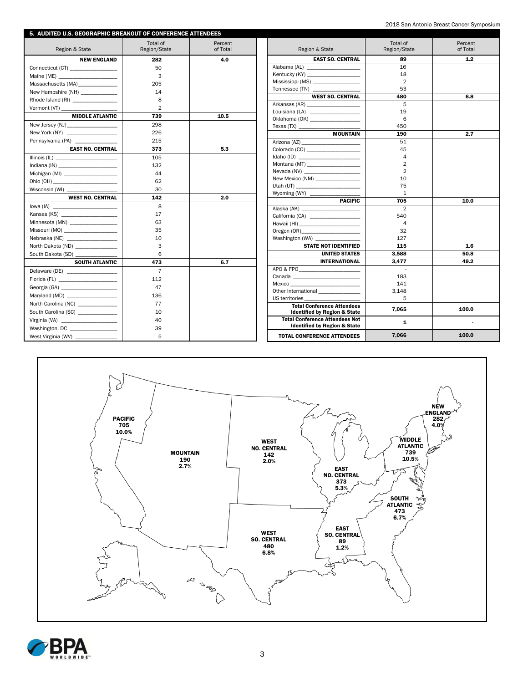| 5. AUDITED U.S. GEOGRAPHIC BREAKOUT OF CONFERENCE ATTENDEES |                |          |                                                                                                                |                          |          |
|-------------------------------------------------------------|----------------|----------|----------------------------------------------------------------------------------------------------------------|--------------------------|----------|
|                                                             | Total of       | Percent  |                                                                                                                | Total of                 | Percent  |
| Region & State                                              | Region/State   | of Total | Region & State                                                                                                 | Region/State             | of Total |
| <b>NEW ENGLAND</b>                                          | 282            | 4.0      | <b>EAST SO. CENTRAL</b>                                                                                        | 89                       | 1.2      |
| Connecticut (CT) _________________                          | 50             |          | Alabama (AL)                                                                                                   | 16                       |          |
| Maine (ME) _________________________                        | 3              |          |                                                                                                                | 18                       |          |
| Massachusetts (MA)                                          | 205            |          | Mississippi (MS) __________________                                                                            | $\overline{2}$           |          |
| New Hampshire (NH) ____________                             | 14             |          | Tennessee (TN) ______________                                                                                  | 53                       |          |
| Rhode Island (RI) _______________                           | 8              |          | <b>WEST SO. CENTRAL</b>                                                                                        | 480                      | 6.8      |
| Vermont (VT) ___                                            | $\overline{2}$ |          |                                                                                                                | 5                        |          |
| <b>MIDDLE ATLANTIC</b>                                      | 739            | 10.5     | Louisiana (LA) experience and the set of the set of the set of the set of the set of the set of the set of the | 19<br>6                  |          |
|                                                             | 298            |          | Oklahoma (OK) ______________________                                                                           | 450                      |          |
| New York (NY) _____________________                         | 226            |          | Texas $(TX)$<br><b>MOUNTAIN</b>                                                                                | 190                      | 2.7      |
| Pennsylvania (PA) _____________                             | 215            |          |                                                                                                                | 51                       |          |
| <b>EAST NO. CENTRAL</b>                                     | 373            | 5.3      | Colorado (CO) ______________________                                                                           | 45                       |          |
|                                                             | 105            |          | Idaho (ID) $\qquad \qquad$                                                                                     | $\overline{\mathcal{A}}$ |          |
|                                                             | 132            |          |                                                                                                                | $\overline{2}$           |          |
| Michigan (MI) ____________________                          | 44             |          |                                                                                                                | $\overline{2}$           |          |
|                                                             | 62             |          | New Mexico (NM) __________________                                                                             | 10                       |          |
|                                                             | 30             |          |                                                                                                                | 75                       |          |
| <b>WEST NO. CENTRAL</b>                                     | 142            | 2.0      | Wyoming (WY) _________                                                                                         | $\mathbf{1}$             |          |
|                                                             | 8              |          | <b>PACIFIC</b>                                                                                                 | 705                      | 10.0     |
| Kansas (KS)                                                 | 17             |          | Alaska (AK) _____________________                                                                              | $\overline{2}$           |          |
| Minnesota (MN) _________________                            | 63             |          |                                                                                                                | 540<br>4                 |          |
| Missouri (MO) ___________________                           | 35             |          | Oregon (OR)                                                                                                    | 32                       |          |
| Nebraska (NE) ____________________                          | 10             |          | Washington (WA) ________                                                                                       | 127                      |          |
| North Dakota (ND) ______________                            | 3              |          | <b>STATE NOT IDENTIFIED</b>                                                                                    | 115                      | 1.6      |
| South Dakota (SD) __                                        | 6              |          | <b>UNITED STATES</b>                                                                                           | 3.588                    | 50.8     |
| <b>SOUTH ATLANTIC</b>                                       | 473            | 6.7      | <b>INTERNATIONAL</b>                                                                                           | 3.477                    | 49.2     |
| Delaware (DE) ____________________                          | $\overline{7}$ |          | APO & FPO                                                                                                      |                          |          |
| Florida (FL) _______________________                        | 112            |          |                                                                                                                | 183                      |          |
| Georgia (GA) ________________________                       | 47             |          |                                                                                                                | 141                      |          |
| Maryland (MD) ___________________                           | 136            |          | Other International _______________                                                                            | 3,148                    |          |
| North Carolina (NC) _____________                           | 77             |          | US territories                                                                                                 | 5                        |          |
| South Carolina (SC) _____________                           | 10             |          | <b>Total Conference Attendees</b><br><b>Identified by Region &amp; State</b>                                   | 7.065                    | 100.0    |
|                                                             | 40             |          | <b>Total Conference Attendees Not</b>                                                                          | $\mathbf{1}$             | $\sim$   |
| Washington, DC ___________________                          | 39             |          | <b>Identified by Region &amp; State</b>                                                                        |                          |          |
| West Virginia (WV) _______________                          | 5              |          | <b>TOTAL CONFERENCE ATTENDEES</b>                                                                              | 7.066                    | 100.0    |



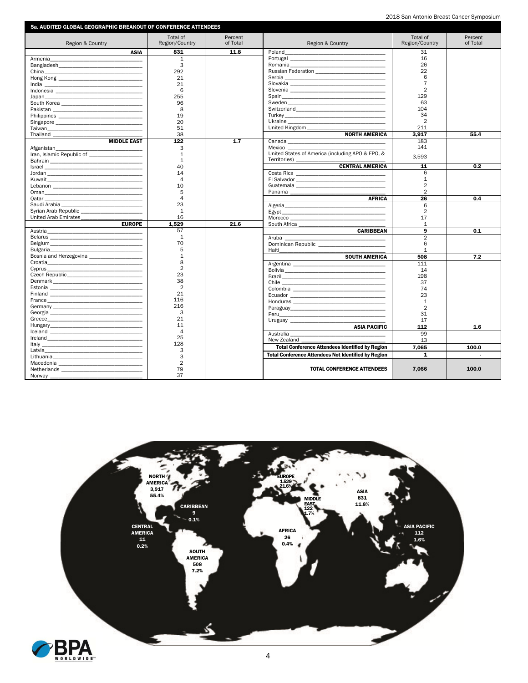|  |  | 2018 San Antonio Breast Cancer Symposium |
|--|--|------------------------------------------|
|  |  |                                          |

| 5a. AUDITED GLOBAL GEOGRAPHIC BREAKOUT OF CONFERENCE ATTENDEES                                                                                                                                                                 |                            |                     |                                                                                                                         |                            |                     |
|--------------------------------------------------------------------------------------------------------------------------------------------------------------------------------------------------------------------------------|----------------------------|---------------------|-------------------------------------------------------------------------------------------------------------------------|----------------------------|---------------------|
| Region & Country                                                                                                                                                                                                               | Total of<br>Region/Country | Percent<br>of Total | Region & Country                                                                                                        | Total of<br>Region/Country | Percent<br>of Total |
| <b>ASIA</b>                                                                                                                                                                                                                    | 831                        | 11.8                | Poland                                                                                                                  | 31                         |                     |
| Armenia                                                                                                                                                                                                                        | $\mathbf{1}$               |                     |                                                                                                                         | 16                         |                     |
|                                                                                                                                                                                                                                | 3                          |                     |                                                                                                                         | 26                         |                     |
|                                                                                                                                                                                                                                | 292                        |                     | <b>Russian Federation No. 1996</b>                                                                                      | 22                         |                     |
|                                                                                                                                                                                                                                | 21                         |                     |                                                                                                                         | 6                          |                     |
|                                                                                                                                                                                                                                | 21                         |                     |                                                                                                                         | $\overline{7}$             |                     |
|                                                                                                                                                                                                                                | 6                          |                     |                                                                                                                         | $\overline{2}$             |                     |
| Japan<br><u> 1980 - Andrea Stadt Britain, amerikan bestean ingila (h. 1980).</u>                                                                                                                                               | 255                        |                     |                                                                                                                         | 129                        |                     |
|                                                                                                                                                                                                                                | 96                         |                     | Sweden                                                                                                                  | 63                         |                     |
|                                                                                                                                                                                                                                | 8                          |                     | Switzerland                                                                                                             | 104                        |                     |
|                                                                                                                                                                                                                                | 19                         |                     |                                                                                                                         | 34                         |                     |
|                                                                                                                                                                                                                                | 20                         |                     |                                                                                                                         | $\overline{2}$             |                     |
|                                                                                                                                                                                                                                | 51                         |                     | United Kingdom                                                                                                          | 211                        |                     |
|                                                                                                                                                                                                                                | 38                         |                     | <b>NORTH AMERICA</b>                                                                                                    | 3.917                      | 55.4                |
| <b>MIDDLE EAST</b>                                                                                                                                                                                                             | 122                        | 1.7                 |                                                                                                                         | 183                        |                     |
| Afganistan                                                                                                                                                                                                                     | 3                          |                     | <b>Mexico Existence</b>                                                                                                 | 141                        |                     |
| Iran, Islamic Republic of                                                                                                                                                                                                      | 1                          |                     | United States of America (including APO & FPO, &                                                                        |                            |                     |
|                                                                                                                                                                                                                                | $\mathbf{1}$               |                     | Territories)                                                                                                            | 3,593                      |                     |
|                                                                                                                                                                                                                                | 40                         |                     | <b>CENTRAL AMERICA</b>                                                                                                  | 11                         | 0.2                 |
|                                                                                                                                                                                                                                | 14                         |                     |                                                                                                                         | 6                          |                     |
|                                                                                                                                                                                                                                | $\overline{4}$             |                     |                                                                                                                         | $\mathbf{1}$               |                     |
|                                                                                                                                                                                                                                | 10                         |                     |                                                                                                                         | $\overline{2}$             |                     |
|                                                                                                                                                                                                                                | 5                          |                     |                                                                                                                         | $\overline{2}$             |                     |
|                                                                                                                                                                                                                                | 4                          |                     | <b>AFRICA</b>                                                                                                           | 26                         | 0.4                 |
|                                                                                                                                                                                                                                | 23                         |                     |                                                                                                                         | 6                          |                     |
| Syrian Arab Republic                                                                                                                                                                                                           | $\mathbf{1}$               |                     | Algeria<br>Egypt                                                                                                        | $\overline{2}$             |                     |
| United Arab Emirates                                                                                                                                                                                                           | 16                         |                     |                                                                                                                         | 17                         |                     |
| <b>EUROPE</b>                                                                                                                                                                                                                  | 1.529                      | 21.6                |                                                                                                                         | $\mathbf{1}$               |                     |
| Austria                                                                                                                                                                                                                        | 57                         |                     | <b>CARIBBEAN</b>                                                                                                        | 9                          | 0.1                 |
| Belarus and the state of the state of the state of the state of the state of the state of the state of the state of the state of the state of the state of the state of the state of the state of the state of the state of th | $\mathbf{1}$               |                     | Aruba                                                                                                                   | $\overline{2}$             |                     |
|                                                                                                                                                                                                                                | 70                         |                     |                                                                                                                         | 6                          |                     |
| Bulgaria<br><u> 1980 - Johann Barnett, fransk politik (d. 1980)</u>                                                                                                                                                            | 5                          |                     |                                                                                                                         | $\mathbf{1}$               |                     |
| Bosnia and Herzegovina ______________________                                                                                                                                                                                  | $\mathbf{1}$               |                     | <b>SOUTH AMERICA</b>                                                                                                    | 508                        | 7.2                 |
|                                                                                                                                                                                                                                | 8                          |                     |                                                                                                                         | 111                        |                     |
|                                                                                                                                                                                                                                | $\overline{2}$             |                     |                                                                                                                         | 14                         |                     |
|                                                                                                                                                                                                                                | 23                         |                     |                                                                                                                         | 198                        |                     |
| Denmark and the contract of the contract of the contract of the contract of the contract of the contract of the contract of the contract of the contract of the contract of the contract of the contract of the contract of th | 38                         |                     |                                                                                                                         | 37                         |                     |
|                                                                                                                                                                                                                                | $\overline{2}$             |                     |                                                                                                                         | 74                         |                     |
|                                                                                                                                                                                                                                | 21                         |                     |                                                                                                                         | 23                         |                     |
| France<br><u> 1980 - Johann Barnett, fransk politik (d. 1980)</u>                                                                                                                                                              | 116                        |                     |                                                                                                                         | $\mathbf{1}$               |                     |
|                                                                                                                                                                                                                                | 216                        |                     |                                                                                                                         | $\overline{2}$             |                     |
|                                                                                                                                                                                                                                | 3                          |                     |                                                                                                                         | 31                         |                     |
|                                                                                                                                                                                                                                | 21                         |                     | Uruguay <b>Exercise Service Service Service Service</b> Service Service Service Service Service Service Service Service | 17                         |                     |
|                                                                                                                                                                                                                                | 11                         |                     | <b>ASIA PACIFIC</b>                                                                                                     | 112                        | 1.6                 |
|                                                                                                                                                                                                                                | $\overline{4}$             |                     |                                                                                                                         | 99                         |                     |
|                                                                                                                                                                                                                                | 25                         |                     | Australia<br>New Zealand                                                                                                | 13                         |                     |
|                                                                                                                                                                                                                                | 128                        |                     |                                                                                                                         |                            |                     |
| Latvia                                                                                                                                                                                                                         | 3                          |                     | <b>Total Conference Attendees Identified by Region</b>                                                                  | 7.065                      | 100.0               |
|                                                                                                                                                                                                                                | 3                          |                     | <b>Total Conference Attendees Not Identified by Region</b>                                                              | $\mathbf{1}$               |                     |
|                                                                                                                                                                                                                                | $\overline{2}$             |                     |                                                                                                                         |                            |                     |
|                                                                                                                                                                                                                                | 79                         |                     | <b>TOTAL CONFERENCE ATTENDEES</b>                                                                                       | 7.066                      | 100.0               |
| Norway __                                                                                                                                                                                                                      | 37                         |                     |                                                                                                                         |                            |                     |